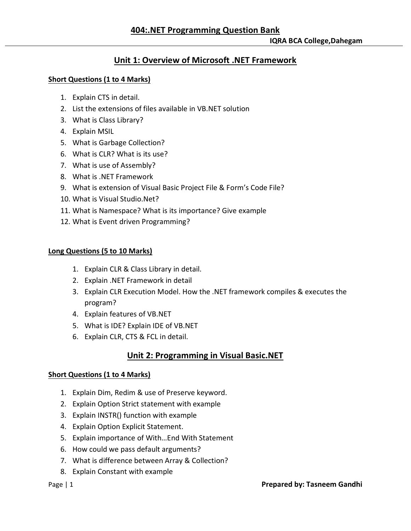# **Unit 1: Overview of Microsoft .NET Framework**

## **Short Questions (1 to 4 Marks)**

- 1. Explain CTS in detail.
- 2. List the extensions of files available in VB.NET solution
- 3. What is Class Library?
- 4. Explain MSIL
- 5. What is Garbage Collection?
- 6. What is CLR? What is its use?
- 7. What is use of Assembly?
- 8. What is .NET Framework
- 9. What is extension of Visual Basic Project File & Form's Code File?
- 10. What is Visual Studio.Net?
- 11. What is Namespace? What is its importance? Give example
- 12. What is Event driven Programming?

## **Long Questions (5 to 10 Marks)**

- 1. Explain CLR & Class Library in detail.
- 2. Explain .NET Framework in detail
- 3. Explain CLR Execution Model. How the .NET framework compiles & executes the program?
- 4. Explain features of VB.NET
- 5. What is IDE? Explain IDE of VB.NET
- 6. Explain CLR, CTS & FCL in detail.

# **Unit 2: Programming in Visual Basic.NET**

## **Short Questions (1 to 4 Marks)**

- 1. Explain Dim, Redim & use of Preserve keyword.
- 2. Explain Option Strict statement with example
- 3. Explain INSTR() function with example
- 4. Explain Option Explicit Statement.
- 5. Explain importance of With…End With Statement
- 6. How could we pass default arguments?
- 7. What is difference between Array & Collection?
- 8. Explain Constant with example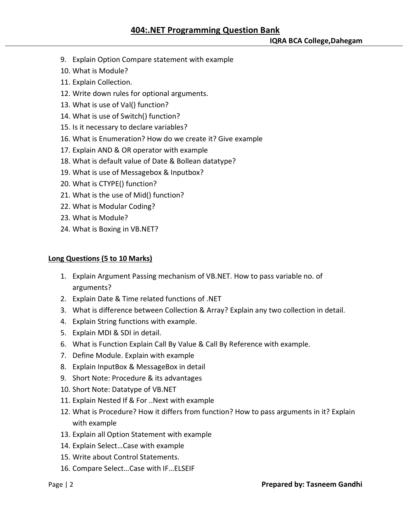- 9. Explain Option Compare statement with example
- 10. What is Module?
- 11. Explain Collection.
- 12. Write down rules for optional arguments.
- 13. What is use of Val() function?
- 14. What is use of Switch() function?
- 15. Is it necessary to declare variables?
- 16. What is Enumeration? How do we create it? Give example
- 17. Explain AND & OR operator with example
- 18. What is default value of Date & Bollean datatype?
- 19. What is use of Messagebox & Inputbox?
- 20. What is CTYPE() function?
- 21. What is the use of Mid() function?
- 22. What is Modular Coding?
- 23. What is Module?
- 24. What is Boxing in VB.NET?

### **Long Questions (5 to 10 Marks)**

- 1. Explain Argument Passing mechanism of VB.NET. How to pass variable no. of arguments?
- 2. Explain Date & Time related functions of .NET
- 3. What is difference between Collection & Array? Explain any two collection in detail.
- 4. Explain String functions with example.
- 5. Explain MDI & SDI in detail.
- 6. What is Function Explain Call By Value & Call By Reference with example.
- 7. Define Module. Explain with example
- 8. Explain InputBox & MessageBox in detail
- 9. Short Note: Procedure & its advantages
- 10. Short Note: Datatype of VB.NET
- 11. Explain Nested If & For ..Next with example
- 12. What is Procedure? How it differs from function? How to pass arguments in it? Explain with example
- 13. Explain all Option Statement with example
- 14. Explain Select…Case with example
- 15. Write about Control Statements.
- 16. Compare Select…Case with IF…ELSEIF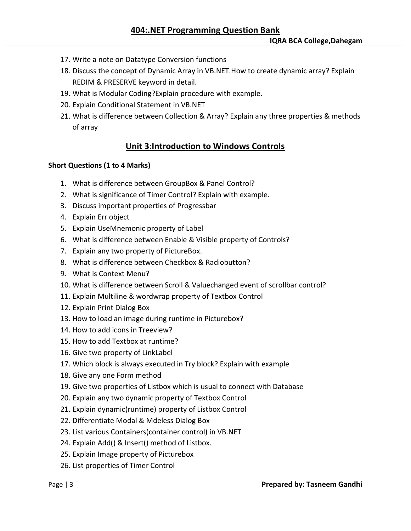- 17. Write a note on Datatype Conversion functions
- 18. Discuss the concept of Dynamic Array in VB.NET.How to create dynamic array? Explain REDIM & PRESERVE keyword in detail.
- 19. What is Modular Coding?Explain procedure with example.
- 20. Explain Conditional Statement in VB.NET
- 21. What is difference between Collection & Array? Explain any three properties & methods of array

## **Unit 3:Introduction to Windows Controls**

### **Short Questions (1 to 4 Marks)**

- 1. What is difference between GroupBox & Panel Control?
- 2. What is significance of Timer Control? Explain with example.
- 3. Discuss important properties of Progressbar
- 4. Explain Err object
- 5. Explain UseMnemonic property of Label
- 6. What is difference between Enable & Visible property of Controls?
- 7. Explain any two property of PictureBox.
- 8. What is difference between Checkbox & Radiobutton?
- 9. What is Context Menu?
- 10. What is difference between Scroll & Valuechanged event of scrollbar control?
- 11. Explain Multiline & wordwrap property of Textbox Control
- 12. Explain Print Dialog Box
- 13. How to load an image during runtime in Picturebox?
- 14. How to add icons in Treeview?
- 15. How to add Textbox at runtime?
- 16. Give two property of LinkLabel
- 17. Which block is always executed in Try block? Explain with example
- 18. Give any one Form method
- 19. Give two properties of Listbox which is usual to connect with Database
- 20. Explain any two dynamic property of Textbox Control
- 21. Explain dynamic(runtime) property of Listbox Control
- 22. Differentiate Modal & Mdeless Dialog Box
- 23. List various Containers(container control) in VB.NET
- 24. Explain Add() & Insert() method of Listbox.
- 25. Explain Image property of Picturebox
- 26. List properties of Timer Control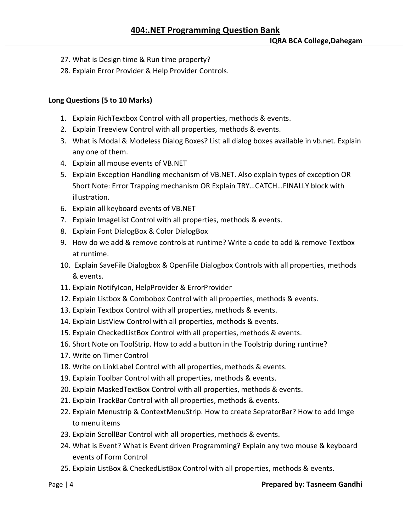- 27. What is Design time & Run time property?
- 28. Explain Error Provider & Help Provider Controls.

## **Long Questions (5 to 10 Marks)**

- 1. Explain RichTextbox Control with all properties, methods & events.
- 2. Explain Treeview Control with all properties, methods & events.
- 3. What is Modal & Modeless Dialog Boxes? List all dialog boxes available in vb.net. Explain any one of them.
- 4. Explain all mouse events of VB.NET
- 5. Explain Exception Handling mechanism of VB.NET. Also explain types of exception OR Short Note: Error Trapping mechanism OR Explain TRY…CATCH…FINALLY block with illustration.
- 6. Explain all keyboard events of VB.NET
- 7. Explain ImageList Control with all properties, methods & events.
- 8. Explain Font DialogBox & Color DialogBox
- 9. How do we add & remove controls at runtime? Write a code to add & remove Textbox at runtime.
- 10. Explain SaveFile Dialogbox & OpenFile Dialogbox Controls with all properties, methods & events.
- 11. Explain NotifyIcon, HelpProvider & ErrorProvider
- 12. Explain Listbox & Combobox Control with all properties, methods & events.
- 13. Explain Textbox Control with all properties, methods & events.
- 14. Explain ListView Control with all properties, methods & events.
- 15. Explain CheckedListBox Control with all properties, methods & events.
- 16. Short Note on ToolStrip. How to add a button in the Toolstrip during runtime?
- 17. Write on Timer Control
- 18. Write on LinkLabel Control with all properties, methods & events.
- 19. Explain Toolbar Control with all properties, methods & events.
- 20. Explain MaskedTextBox Control with all properties, methods & events.
- 21. Explain TrackBar Control with all properties, methods & events.
- 22. Explain Menustrip & ContextMenuStrip. How to create SepratorBar? How to add Imge to menu items
- 23. Explain ScrollBar Control with all properties, methods & events.
- 24. What is Event? What is Event driven Programming? Explain any two mouse & keyboard events of Form Control
- 25. Explain ListBox & CheckedListBox Control with all properties, methods & events.

### Page | 4 **Prepared by: Tasneem Gandhi**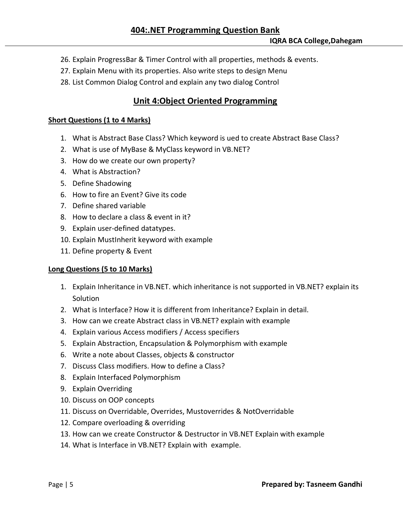- 26. Explain ProgressBar & Timer Control with all properties, methods & events.
- 27. Explain Menu with its properties. Also write steps to design Menu
- 28. List Common Dialog Control and explain any two dialog Control

## **Unit 4:Object Oriented Programming**

### **Short Questions (1 to 4 Marks)**

- 1. What is Abstract Base Class? Which keyword is ued to create Abstract Base Class?
- 2. What is use of MyBase & MyClass keyword in VB.NET?
- 3. How do we create our own property?
- 4. What is Abstraction?
- 5. Define Shadowing
- 6. How to fire an Event? Give its code
- 7. Define shared variable
- 8. How to declare a class & event in it?
- 9. Explain user-defined datatypes.
- 10. Explain MustInherit keyword with example
- 11. Define property & Event

### **Long Questions (5 to 10 Marks)**

- 1. Explain Inheritance in VB.NET. which inheritance is not supported in VB.NET? explain its Solution
- 2. What is Interface? How it is different from Inheritance? Explain in detail.
- 3. How can we create Abstract class in VB.NET? explain with example
- 4. Explain various Access modifiers / Access specifiers
- 5. Explain Abstraction, Encapsulation & Polymorphism with example
- 6. Write a note about Classes, objects & constructor
- 7. Discuss Class modifiers. How to define a Class?
- 8. Explain Interfaced Polymorphism
- 9. Explain Overriding
- 10. Discuss on OOP concepts
- 11. Discuss on Overridable, Overrides, Mustoverrides & NotOverridable
- 12. Compare overloading & overriding
- 13. How can we create Constructor & Destructor in VB.NET Explain with example
- 14. What is Interface in VB.NET? Explain with example.